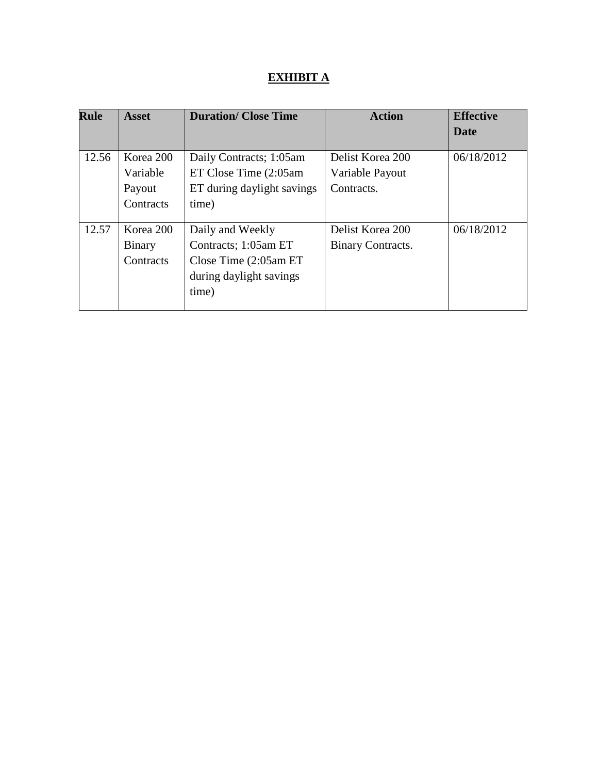# **EXHIBIT A**

| <b>Rule</b> | <b>Asset</b>                                 | <b>Duration/ Close Time</b>                                                                              | <b>Action</b>                                     | <b>Effective</b> |
|-------------|----------------------------------------------|----------------------------------------------------------------------------------------------------------|---------------------------------------------------|------------------|
|             |                                              |                                                                                                          |                                                   | Date             |
| 12.56       | Korea 200<br>Variable<br>Payout<br>Contracts | Daily Contracts; 1:05am<br>ET Close Time (2:05am<br>ET during daylight savings<br>time)                  | Delist Korea 200<br>Variable Payout<br>Contracts. | 06/18/2012       |
| 12.57       | Korea 200<br><b>Binary</b><br>Contracts      | Daily and Weekly<br>Contracts; 1:05am ET<br>Close Time $(2:05am ET)$<br>during daylight savings<br>time) | Delist Korea 200<br>Binary Contracts.             | 06/18/2012       |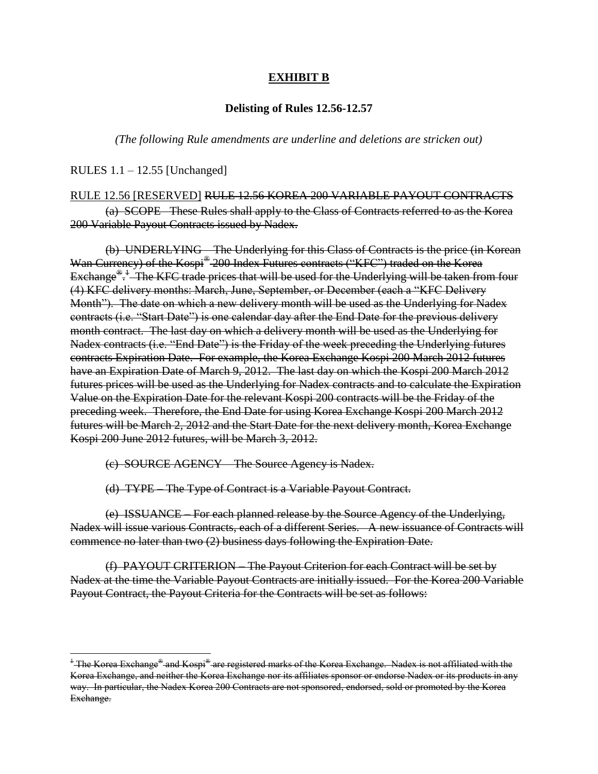## **EXHIBIT B**

#### **Delisting of Rules 12.56-12.57**

*(The following Rule amendments are underline and deletions are stricken out)*

RULES 1.1 – 12.55 [Unchanged]

 $\overline{\phantom{a}}$ 

#### RULE 12.56 [RESERVED] RULE 12.56 KOREA 200 VARIABLE PAYOUT CONTRACTS

(a) SCOPE –These Rules shall apply to the Class of Contracts referred to as the Korea 200 Variable Payout Contracts issued by Nadex.

(b) UNDERLYING – The Underlying for this Class of Contracts is the price (in Korean Wan Currency) of the Kospi® 200 Index Futures contracts ("KFC") traded on the Korea Exchange<sup>®</sup>: The KFC trade prices that will be used for the Underlying will be taken from four (4) KFC delivery months: March, June, September, or December (each a "KFC Delivery Month"). The date on which a new delivery month will be used as the Underlying for Nadex contracts (i.e. "Start Date") is one calendar day after the End Date for the previous delivery month contract. The last day on which a delivery month will be used as the Underlying for Nadex contracts (i.e. "End Date") is the Friday of the week preceding the Underlying futures contracts Expiration Date. For example, the Korea Exchange Kospi 200 March 2012 futures have an Expiration Date of March 9, 2012. The last day on which the Kospi 200 March 2012 futures prices will be used as the Underlying for Nadex contracts and to calculate the Expiration Value on the Expiration Date for the relevant Kospi 200 contracts will be the Friday of the preceding week. Therefore, the End Date for using Korea Exchange Kospi 200 March 2012 futures will be March 2, 2012 and the Start Date for the next delivery month, Korea Exchange Kospi 200 June 2012 futures, will be March 3, 2012.

(c) SOURCE AGENCY – The Source Agency is Nadex.

(d) TYPE – The Type of Contract is a Variable Payout Contract.

(e) ISSUANCE – For each planned release by the Source Agency of the Underlying, Nadex will issue various Contracts, each of a different Series. A new issuance of Contracts will commence no later than two (2) business days following the Expiration Date.

(f) PAYOUT CRITERION – The Payout Criterion for each Contract will be set by Nadex at the time the Variable Payout Contracts are initially issued. For the Korea 200 Variable Payout Contract, the Payout Criteria for the Contracts will be set as follows:

 $^4$  The Korea Exchange $^{\circledast}$  and Kospi $^{\circledast}$  are registered marks of the Korea Exchange. Nadex is not affiliated with the Korea Exchange, and neither the Korea Exchange nor its affiliates sponsor or endorse Nadex or its products in any way. In particular, the Nadex Korea 200 Contracts are not sponsored, endorsed, sold or promoted by the Korea Exchange.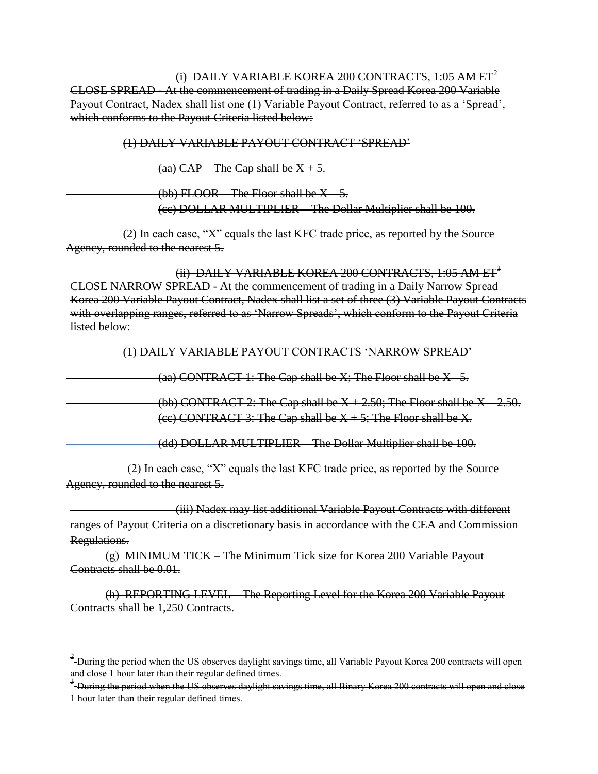(i) DAILY VARIABLE KOREA 200 CONTRACTS,  $1:05$  AM ET<sup>2</sup> CLOSE SPREAD - At the commencement of trading in a Daily Spread Korea 200 Variable Payout Contract, Nadex shall list one (1) Variable Payout Contract, referred to as a 'Spread', which conforms to the Payout Criteria listed below:

(1) DAILY VARIABLE PAYOUT CONTRACT 'SPREAD'

(aa)  $CAP$  – The Cap shall be  $X + 5$ .

(bb) FLOOR The Floor shall be  $X = 5$ .

(cc) DOLLAR MULTIPLIER – The Dollar Multiplier shall be 100.

(2) In each case, "X" equals the last KFC trade price, as reported by the Source Agency, rounded to the nearest 5.

(ii) DAILY VARIABLE KOREA 200 CONTRACTS, 1:05 AM ET<sup>3</sup> CLOSE NARROW SPREAD - At the commencement of trading in a Daily Narrow Spread Korea 200 Variable Payout Contract, Nadex shall list a set of three (3) Variable Payout Contracts with overlapping ranges, referred to as 'Narrow Spreads', which conform to the Payout Criteria listed below:

(1) DAILY VARIABLE PAYOUT CONTRACTS 'NARROW SPREAD'

(aa) CONTRACT 1: The Cap shall be  $X$ ; The Floor shall be  $X$  5.

(bb) CONTRACT 2: The Cap shall be  $X + 2.50$ ; The Floor shall be  $X - 2.50$ . (ee) CONTRACT 3: The Cap shall be  $X + 5$ ; The Floor shall be X.

(dd) DOLLAR MULTIPLIER – The Dollar Multiplier shall be 100.

(2) In each case, "X" equals the last KFC trade price, as reported by the Source Agency, rounded to the nearest 5.

(iii) Nadex may list additional Variable Payout Contracts with different ranges of Payout Criteria on a discretionary basis in accordance with the CEA and Commission Regulations.

(g) MINIMUM TICK – The Minimum Tick size for Korea 200 Variable Payout Contracts shall be 0.01.

l

(h) REPORTING LEVEL – The Reporting Level for the Korea 200 Variable Payout Contracts shall be 1,250 Contracts.

 $^2$ -During the period when the US observes daylight savings time, all Variable Payout Korea 200 contracts will open and close 1 hour later than their regular defined times.

<sup>&</sup>lt;sup>3</sup> During the period when the US observes daylight savings time, all Binary Korea 200 contracts will open and close 1 hour later than their regular defined times.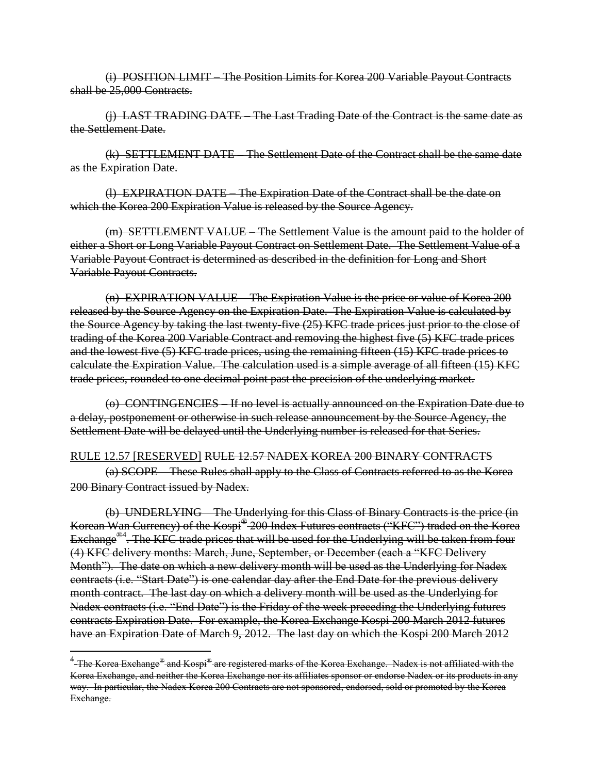(i) POSITION LIMIT – The Position Limits for Korea 200 Variable Payout Contracts shall be 25,000 Contracts.

(j) LAST TRADING DATE – The Last Trading Date of the Contract is the same date as the Settlement Date.

(k) SETTLEMENT DATE – The Settlement Date of the Contract shall be the same date as the Expiration Date.

(l) EXPIRATION DATE – The Expiration Date of the Contract shall be the date on which the Korea 200 Expiration Value is released by the Source Agency.

(m) SETTLEMENT VALUE – The Settlement Value is the amount paid to the holder of either a Short or Long Variable Payout Contract on Settlement Date. The Settlement Value of a Variable Payout Contract is determined as described in the definition for Long and Short Variable Payout Contracts.

(n) EXPIRATION VALUE – The Expiration Value is the price or value of Korea 200 released by the Source Agency on the Expiration Date. The Expiration Value is calculated by the Source Agency by taking the last twenty-five (25) KFC trade prices just prior to the close of trading of the Korea 200 Variable Contract and removing the highest five (5) KFC trade prices and the lowest five (5) KFC trade prices, using the remaining fifteen (15) KFC trade prices to calculate the Expiration Value. The calculation used is a simple average of all fifteen (15) KFC trade prices, rounded to one decimal point past the precision of the underlying market.

(o) CONTINGENCIES – If no level is actually announced on the Expiration Date due to a delay, postponement or otherwise in such release announcement by the Source Agency, the Settlement Date will be delayed until the Underlying number is released for that Series.

### RULE 12.57 [RESERVED] RULE 12.57 NADEX KOREA 200 BINARY CONTRACTS

(a) SCOPE – These Rules shall apply to the Class of Contracts referred to as the Korea 200 Binary Contract issued by Nadex.

(b) UNDERLYING – The Underlying for this Class of Binary Contracts is the price (in Korean Wan Currency) of the Kospi® 200 Index Futures contracts ("KFC") traded on the Korea Exchange<sup>®4</sup>. The KFC trade prices that will be used for the Underlying will be taken from four (4) KFC delivery months: March, June, September, or December (each a "KFC Delivery Month"). The date on which a new delivery month will be used as the Underlying for Nadex contracts (i.e. "Start Date") is one calendar day after the End Date for the previous delivery month contract. The last day on which a delivery month will be used as the Underlying for Nadex contracts (i.e. "End Date") is the Friday of the week preceding the Underlying futures contracts Expiration Date. For example, the Korea Exchange Kospi 200 March 2012 futures have an Expiration Date of March 9, 2012. The last day on which the Kospi 200 March 2012

 $\overline{\phantom{a}}$ 

<sup>&</sup>lt;sup>4</sup>-The Korea Exchange<sup>®</sup> and Kospi® are registered marks of the Korea Exchange. Nadex is not affiliated with the Korea Exchange, and neither the Korea Exchange nor its affiliates sponsor or endorse Nadex or its products in any way. In particular, the Nadex Korea 200 Contracts are not sponsored, endorsed, sold or promoted by the Korea Exchange.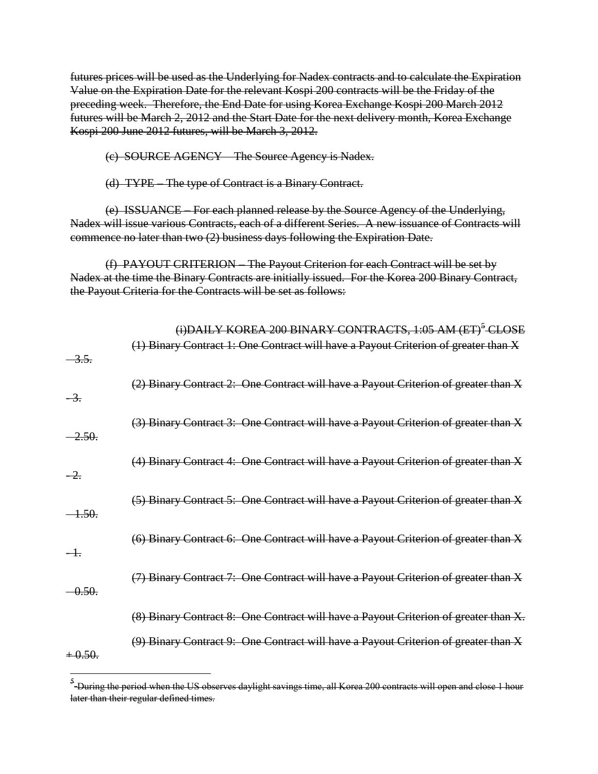futures prices will be used as the Underlying for Nadex contracts and to calculate the Expiration Value on the Expiration Date for the relevant Kospi 200 contracts will be the Friday of the preceding week. Therefore, the End Date for using Korea Exchange Kospi 200 March 2012 futures will be March 2, 2012 and the Start Date for the next delivery month, Korea Exchange Kospi 200 June 2012 futures, will be March 3, 2012.

(c) SOURCE AGENCY – The Source Agency is Nadex.

(d) TYPE – The type of Contract is a Binary Contract.

(e) ISSUANCE – For each planned release by the Source Agency of the Underlying, Nadex will issue various Contracts, each of a different Series. A new issuance of Contracts will commence no later than two (2) business days following the Expiration Date.

(f) PAYOUT CRITERION – The Payout Criterion for each Contract will be set by Nadex at the time the Binary Contracts are initially issued. For the Korea 200 Binary Contract, the Payout Criteria for the Contracts will be set as follows:

|                 | (i)DAILY KOREA 200 BINARY CONTRACTS, 1:05 AM (ET) <sup>5</sup> CLOSE                |
|-----------------|-------------------------------------------------------------------------------------|
| <del>3.5.</del> | (1) Binary Contract 1: One Contract will have a Payout Criterion of greater than X  |
| $-\frac{3}{2}$  | (2) Binary Contract 2: One Contract will have a Payout Criterion of greater than X  |
| -2.50.          | (3) Binary Contract 3: One Contract will have a Payout Criterion of greater than X  |
| $-2.$           | (4) Binary Contract 4: One Contract will have a Payout Criterion of greater than X  |
| -4.50.          | (5) Binary Contract 5: One Contract will have a Payout Criterion of greater than X  |
| $-1$ .          | (6) Binary Contract 6: One Contract will have a Payout Criterion of greater than X  |
| 0.50.           | (7) Binary Contract 7: One Contract will have a Payout Criterion of greater than X  |
|                 | (8) Binary Contract 8: One Contract will have a Payout Criterion of greater than X. |
| $+0.50.$        | (9) Binary Contract 9: One Contract will have a Payout Criterion of greater than X  |

 5 During the period when the US observes daylight savings time, all Korea 200 contracts will open and close 1 hour later than their regular defined times.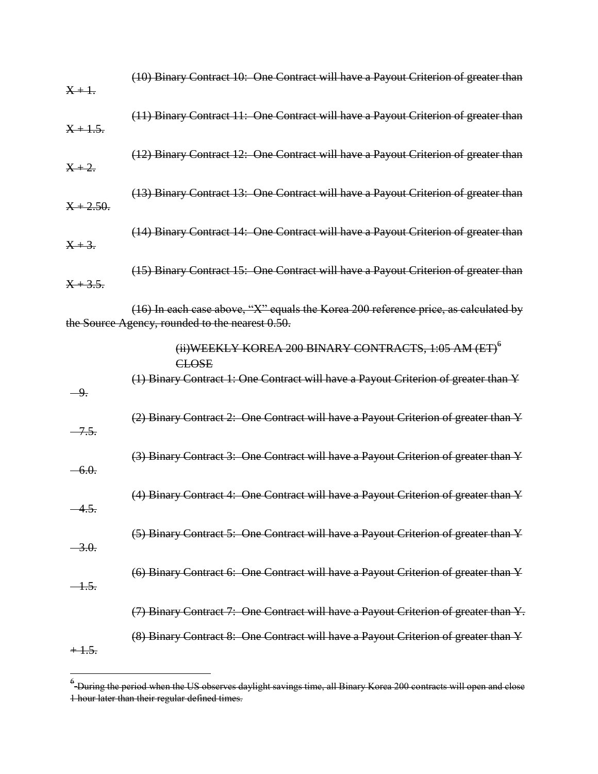| $X + 1.$          | (10) Binary Contract 10: One Contract will have a Payout Criterion of greater than                                                       |
|-------------------|------------------------------------------------------------------------------------------------------------------------------------------|
| $X + 1.5.$        | (11) Binary Contract 11: One Contract will have a Payout Criterion of greater than                                                       |
| $X + 2.$          | (12) Binary Contract 12: One Contract will have a Payout Criterion of greater than                                                       |
| $X + 2.50.$       | (13) Binary Contract 13: One Contract will have a Payout Criterion of greater than                                                       |
| $X + 3.$          | (14) Binary Contract 14: One Contract will have a Payout Criterion of greater than                                                       |
| $X + 3.5.$        | (15) Binary Contract 15: One Contract will have a Payout Criterion of greater than                                                       |
|                   | $(16)$ In each case above, "X" equals the Korea 200 reference price, as calculated by<br>the Source Agency, rounded to the nearest 0.50. |
|                   | (ii) WEEKLY KOREA 200 BINARY CONTRACTS, $1:05$ AM (ET) <sup>6</sup><br><b>CLOSE</b>                                                      |
| $-9.$             | (1) Binary Contract 1: One Contract will have a Payout Criterion of greater than Y                                                       |
| $-7.5.$           | (2) Binary Contract 2: One Contract will have a Payout Criterion of greater than Y                                                       |
| $-6.0.$           | (3) Binary Contract 3: One Contract will have a Payout Criterion of greater than Y                                                       |
| 4.5.              | (4) Binary Contract 4: One Contract will have a Payout Criterion of greater than Y                                                       |
| $-3.0.$           | (5) Binary Contract 5: One Contract will have a Payout Criterion of greater than Y                                                       |
| <del>- 1.5.</del> | (6) Binary Contract 6: One Contract will have a Payout Criterion of greater than Y                                                       |
|                   | (7) Binary Contract 7: One Contract will have a Payout Criterion of greater than Y.                                                      |
| $+1.5.$           | (8) Binary Contract 8: One Contract will have a Payout Criterion of greater than Y                                                       |

 6 During the period when the US observes daylight savings time, all Binary Korea 200 contracts will open and close 1 hour later than their regular defined times.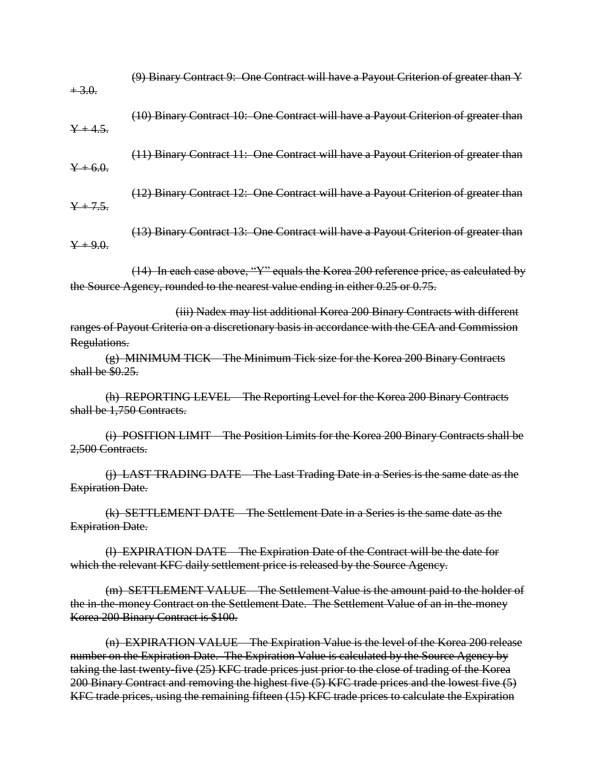| $+3.0.$                 | (9) Binary Contract 9: One Contract will have a Payout Criterion of greater than Y                                                                                                                                                                                                  |
|-------------------------|-------------------------------------------------------------------------------------------------------------------------------------------------------------------------------------------------------------------------------------------------------------------------------------|
| $Y + 4.5.$              | (10) Binary Contract 10: One Contract will have a Payout Criterion of greater than                                                                                                                                                                                                  |
| $Y + 6.0.$              | (11) Binary Contract 11: One Contract will have a Payout Criterion of greater than                                                                                                                                                                                                  |
| $Y + 7.5.$              | (12) Binary Contract 12: One Contract will have a Payout Criterion of greater than                                                                                                                                                                                                  |
| $Y + 9.0.$              | (13) Binary Contract 13: One Contract will have a Payout Criterion of greater than                                                                                                                                                                                                  |
|                         | (14) In each case above, "Y" equals the Korea 200 reference price, as calculated by<br>the Source Agency, rounded to the nearest value ending in either 0.25 or 0.75.                                                                                                               |
| Regulations.            | (iii) Nadex may list additional Korea 200 Binary Contracts with different<br>ranges of Payout Criteria on a discretionary basis in accordance with the CEA and Commission                                                                                                           |
| shall be \$0.25.        | (g) MINIMUM TICK The Minimum Tick size for the Korea 200 Binary Contracts                                                                                                                                                                                                           |
|                         | (h) REPORTING LEVEL The Reporting Level for the Korea 200 Binary Contracts<br>shall be 1,750 Contracts.                                                                                                                                                                             |
| 2,500 Contracts.        | (i) POSITION LIMIT – The Position Limits for the Korea 200 Binary Contracts shall be                                                                                                                                                                                                |
| <b>Expiration Date.</b> | (j) LAST TRADING DATE The Last Trading Date in a Series is the same date as the                                                                                                                                                                                                     |
| <b>Expiration Date.</b> | (k) SETTLEMENT DATE - The Settlement Date in a Series is the same date as the                                                                                                                                                                                                       |
|                         | (l) EXPIRATION DATE - The Expiration Date of the Contract will be the date for<br>which the relevant KFC daily settlement price is released by the Source Agency.                                                                                                                   |
|                         | (m) SETTLEMENT VALUE The Settlement Value is the amount paid to the holder of<br>the in-the-money Contract on the Settlement Date. The Settlement Value of an in-the-money<br>Korea 200 Binary Contract is \$100.                                                                   |
|                         | (n) EXPIRATION VALUE – The Expiration Value is the level of the Korea 200 release<br>number on the Expiration Date. The Expiration Value is calculated by the Source Agency by<br>taking the last twenty-five (25) KFC trade prices just prior to the close of trading of the Korea |

200 Binary Contract and removing the highest five (5) KFC trade prices and the lowest five (5) KFC trade prices, using the remaining fifteen (15) KFC trade prices to calculate the Expiration